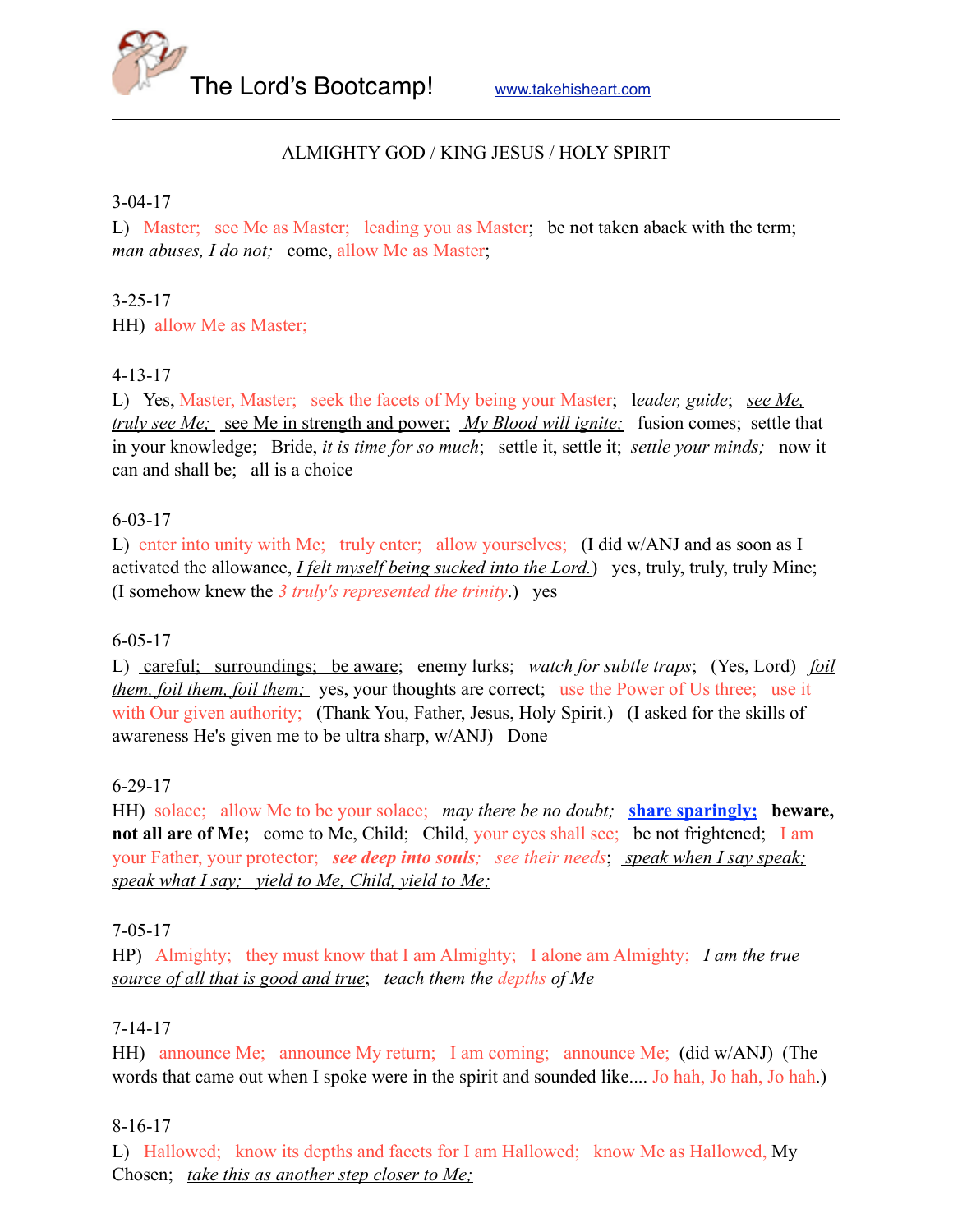The Lord's Bootcamp! [www.takehisheart.com](http://www.takehisheart.com)

## ALMIGHTY GOD / KING JESUS / HOLY SPIRIT

#### 3-04-17

L) Master; see Me as Master; leading you as Master; be not taken aback with the term; *man abuses, I do not;* come, allow Me as Master;

### 3-25-17

HH) allow Me as Master;

## 4-13-17

L) Yes, Master, Master; seek the facets of My being your Master; l*eader, guide*; *see Me, truly see Me;* see Me in strength and power; *My Blood will ignite;* fusion comes; settle that in your knowledge; Bride, *it is time for so much*; settle it, settle it; *settle your minds;* now it can and shall be; all is a choice

#### 6-03-17

L) enter into unity with Me; truly enter; allow yourselves; (I did w/ANJ and as soon as I activated the allowance, *I felt myself being sucked into the Lord.*) yes, truly, truly, truly Mine; (I somehow knew the *3 truly's represented the trinity*.) yes

### 6-05-17

L) careful; surroundings; be aware; enemy lurks; *watch for subtle traps*; (Yes, Lord) *foil them, foil them, foil them;* yes, your thoughts are correct; use the Power of Us three; use it with Our given authority; (Thank You, Father, Jesus, Holy Spirit.) (I asked for the skills of awareness He's given me to be ultra sharp, w/ANJ) Done

### 6-29-17

HH) solace; allow Me to be your solace; *may there be no doubt;* **share sparingly; beware, not all are of Me;** come to Me, Child; Child, your eyes shall see; be not frightened; I am your Father, your protector; *see deep into souls; see their needs*; *speak when I say speak; speak what I say; yield to Me, Child, yield to Me;*

### 7-05-17

HP) Almighty; they must know that I am Almighty; I alone am Almighty; *I am the true source of all that is good and true*; *teach them the depths of Me* 

### 7-14-17

HH) announce Me; announce My return; I am coming; announce Me; (did w/ANJ) (The words that came out when I spoke were in the spirit and sounded like.... Jo hah, Jo hah, Jo hah.)

### 8-16-17

L) Hallowed; know its depths and facets for I am Hallowed; know Me as Hallowed, My Chosen; *take this as another step closer to Me;*